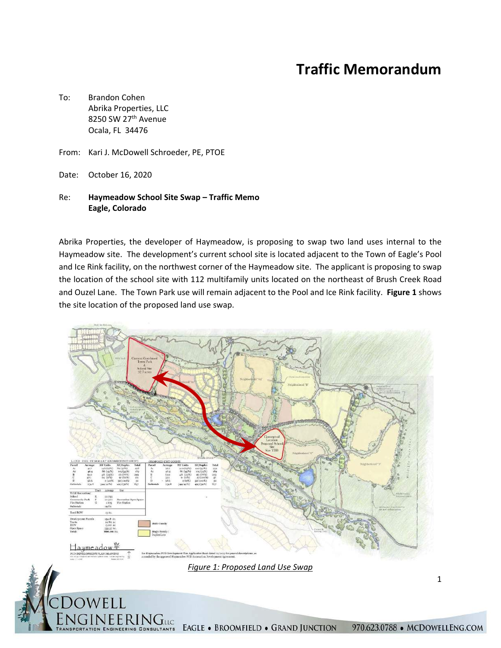# **Traffic Memorandum**

- To: Brandon Cohen Abrika Properties, LLC 8250 SW 27th Avenue Ocala, FL 34476
- From: Kari J. McDowell Schroeder, PE, PTOE
- Date: October 16, 2020

#### Re: **Haymeadow School Site Swap – Traffic Memo Eagle, Colorado**

Abrika Properties, the developer of Haymeadow, is proposing to swap two land uses internal to the Haymeadow site. The development's current school site is located adjacent to the Town of Eagle's Pool and Ice Rink facility, on the northwest corner of the Haymeadow site. The applicant is proposing to swap the location of the school site with 112 multifamily units located on the northeast of Brush Creek Road and Ouzel Lane. The Town Park use will remain adjacent to the Pool and Ice Rink facility. **Figure 1** shows the site location of the proposed land use swap.



1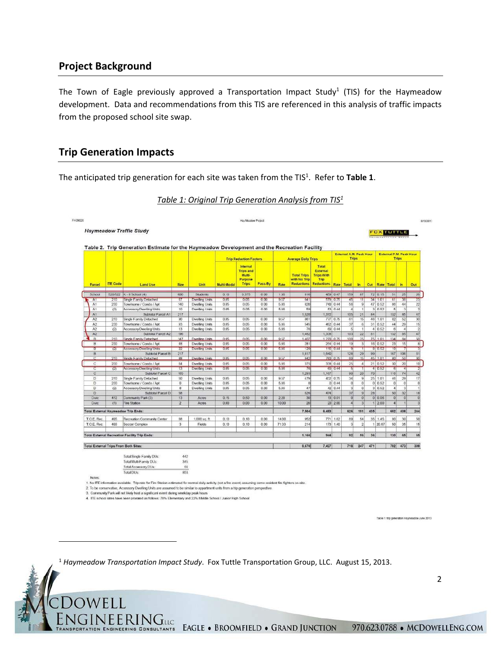# **Project Background**

The Town of Eagle previously approved a Transportation Impact Study<sup>1</sup> (TIS) for the Haymeadow development. Data and recommendations from this TIS are referenced in this analysis of traffic impacts from the proposed school site swap.

### **Trip Generation Impacts**

The anticipated trip generation for each site was taken from the TIS<sup>1</sup>. Refer to Table 1.

|                |                 | <b>Haymeadow Traffic Study</b>                       |                         |                       |                                                                                                                              |                                                            |                            |       |                                                  |                                                                         |          |                |                          |                                         |            | <b>FOX TURBLE</b> |                |                 |
|----------------|-----------------|------------------------------------------------------|-------------------------|-----------------------|------------------------------------------------------------------------------------------------------------------------------|------------------------------------------------------------|----------------------------|-------|--------------------------------------------------|-------------------------------------------------------------------------|----------|----------------|--------------------------|-----------------------------------------|------------|-------------------|----------------|-----------------|
|                | <b>ITE Code</b> | <b>Land Use</b>                                      | Size                    | Unit                  | Table 2. Trip Generation Estimate for the Haymeadow Development and the Recreation Facility<br><b>Trip Reduction Factors</b> |                                                            | <b>Average Daily Trips</b> |       |                                                  | External A.M. Peak Hour<br>Trips                                        |          |                |                          | External P.M. Peak Hour<br><b>Trips</b> |            |                   |                |                 |
| Parcel         |                 |                                                      |                         |                       | Multi-Modal                                                                                                                  | Internal<br>Trips and<br>Multi-<br>Purpose<br><b>Trips</b> | Pass-By                    | Rate  | <b>Total Trips</b><br>with No Trip<br>Reductions | Total<br>External<br><b>Trips With</b><br>Trip<br>Reductions Rate Total |          |                | in.                      |                                         |            | Out Rate Total In |                | <b>Out</b>      |
| School         |                 | 520/522 K - 8 School (4)                             | 600                     | <b>Students</b>       | 0.10                                                                                                                         | 0.375                                                      | 0.00                       | 1.36  | 816                                              |                                                                         | 459 0.47 | 159            | 87                       |                                         | 72   0.15  | <b>BI</b>         | 25             | 26              |
| A1             | 210             | <b>Single Family Detached</b>                        | 67                      | <b>Dweling Units</b>  | 0.05                                                                                                                         | 0.05                                                       | 0.00                       | 9.57  | 641                                              |                                                                         | 579 0.75 | 45             | 11                       |                                         | 34 101     | 61                | 391            | 23              |
| A1             | 230             | Townhome / Condo / Apt                               | 140                     | <b>Dwelling Units</b> | 0.05                                                                                                                         | 0.05                                                       | 0.00                       | 5.86  | 820                                              |                                                                         | 740 0.44 | 56             | $\cdot$ 9                | 47                                      | 0.52       | 66                | 44             | 22              |
| A1             | (2)             | Accessory Dwelling Units                             | 10                      | Dwelling Units        | 0.05                                                                                                                         | 0.05                                                       | 0.00                       | 5.88  | 59                                               |                                                                         | 53 0.44  | $\overline{4}$ | 1                        | 3 <sub>1</sub>                          | 0.52       | $\overline{5}$    | $\overline{3}$ | $\overline{2}$  |
| AT             |                 | Subtotal Parcel A1                                   | 217                     |                       |                                                                                                                              |                                                            |                            |       | 1,520                                            | 1,372                                                                   |          | 105            | 21                       | 84                                      |            | 132               | 85             | 47              |
| A <sub>2</sub> | 210             | Single Family Detached                               | 90                      | <b>Dwelling Units</b> | 0.05                                                                                                                         | 0.05                                                       | 0.00                       | 9.57  | 86                                               |                                                                         | 777 0.75 | 61             | 15                       | 46                                      | 1.01       | 82                | 52             | 30              |
| A <sub>2</sub> | 230             | Townhome / Condo / Apt                               | 93                      | Dwelling Units        | 0.05                                                                                                                         | 0.05                                                       | 0.00                       | 5.86  | 545                                              |                                                                         | 492 0.44 | 37             | 6                        | 31                                      | 0.52       | 44                | 29             | 15              |
| A2             | (2)             | Accessory Dwelling Units                             | 13                      | <b>Dwelling Units</b> | 0.05                                                                                                                         | 0.05                                                       | 0.00                       | 5.86  | 76                                               |                                                                         | 69 044   | $\mathfrak{H}$ | 1                        |                                         | 4052       | 6                 | 4              | $\overline{2}$  |
| A <sub>2</sub> |                 | Subtotal Parcel A2:                                  | 196                     |                       |                                                                                                                              |                                                            |                            |       | 1,482                                            | 1.338                                                                   |          | 103            | 22                       | 81                                      |            | 132               | 85             | 47              |
| $\overline{B}$ | 210             | Single Family Detached                               | 147                     | Dwelling Units        | 0.05                                                                                                                         | 0.05                                                       | 0.00                       | 9.57  | 1.407                                            | 1.270 0.75                                                              |          | 300            | 25                       |                                         | $75 - 101$ | 134               | B4             | 50              |
| B              | 230             | Townhome / Condo / Apt                               | 48                      | <b>Dwelling Units</b> | 0.05                                                                                                                         | 0.06                                                       | 0.00                       | 5.86  | $^{28}$                                          |                                                                         | 254 0.44 | 19             | 3                        |                                         | 16 0.52    | 23                | 15             | 8 <sup>1</sup>  |
| Ţ              | (2)             | <b>Accessory Dwelling Units</b>                      | 22                      | <b>Dwelling Units</b> | 0.05                                                                                                                         | 0.05                                                       | 0.00                       | 5.86  | ī2.                                              |                                                                         | 116 044  | э              | ш                        |                                         | 8 0.52     | 10                | T              |                 |
| B              |                 | Subtotal Parcel B:                                   | 217                     |                       |                                                                                                                              |                                                            |                            |       | 1,817                                            | 1,640                                                                   |          | 128            | 29                       | 99                                      |            | 167               | 106            | 61              |
| c              | 210             | Single Family Detached                               | 88                      | <b>Dwoling Units</b>  | 0.05                                                                                                                         | 0.06                                                       | 0.00                       | 9.57  | 842                                              |                                                                         | 760 0.75 | 60             | 15                       |                                         | 45 101     | 80                | 50             | 30              |
| C              | 230             | Townhome / Condo / Apt                               | <b>B4</b>               | <b>Dwelling Units</b> | 0.05                                                                                                                         | 0.05                                                       | 0.00                       | 5.88  | 375                                              |                                                                         | 338 0.44 | 25             | $\Delta$                 |                                         | 21 0.52    | 30                | 20             | 10 <sub>1</sub> |
| τ              | (2)             | Accessory Dwelling Units                             | $\overline{13}$         | <b>Dweling Units</b>  | 0.05                                                                                                                         | 0.05                                                       | 0.00                       | 5,881 | 76                                               |                                                                         | 031 054  | $\overline{5}$ | ÷                        |                                         | 4 0.52     | B)                | 7              |                 |
| C              |                 | Subtotal Parcel C:                                   | 165                     |                       |                                                                                                                              |                                                            |                            |       | 1,293                                            | 1.167                                                                   |          | 90             | 20                       | 701                                     |            | 116               | 74             | 42              |
| $\Box$         | 210             | Single Family Detached                               | 50                      | Dwelling Units        | 0.05                                                                                                                         | 0.05                                                       | 0.00                       | 9.57  | 479                                              |                                                                         | 432 075  | 34             | $\vert \mathbf{q} \vert$ |                                         | 25 101     | 46                | 29             | 17              |
| Ð              | 230             | Townhome / Condo / Apt                               | $\alpha$                | Dwelling Units        | 0.05                                                                                                                         | 0.05                                                       | 0.00                       | 5.88  | ¢                                                |                                                                         | 0.044    | $\theta$       | $\Omega$                 |                                         | 0.052      | D.                | $\Omega$       | $\theta$        |
| D              | (2)             | Accessory Dwelling Units                             | B                       | <b>Dwelling Units</b> | 0.05                                                                                                                         | 0.05                                                       | 0.00                       | 5.66  | 47                                               |                                                                         | 42 0.44  | $\mathbf{3}$   | $\ddot{o}$               | 3 <sub>1</sub>                          | 0.52       | 4                 | $\overline{3}$ |                 |
| $\Box$         |                 | Subtotal Parcel D.                                   | 58                      |                       |                                                                                                                              |                                                            |                            |       | 526                                              | 474                                                                     |          | 37             | $\overline{9}$           | 28                                      |            | 50                | 32             | 18              |
| Civic          | 412             | Community Park (3)                                   | 13                      | Acres                 | 0.15                                                                                                                         | 0.50                                                       | 0.00                       | 2.29  | 30                                               |                                                                         | 13 0 01  | $\circ$        | $\sqrt{0}$               |                                         | 00006      | $\mathbf{O}$      | $\theta$       | ö               |
| Civic          | (1)             | <b>Fire Station</b>                                  | $\overline{2}$          | Acres                 | 0.00                                                                                                                         | 0.00                                                       | 0.00                       | 10.00 | 20                                               |                                                                         | 20 2.00  | и              | 3                        |                                         | 1 200      | $\vert$           |                | з               |
|                |                 | Total External Haymeadow Trip Ends:                  |                         |                       |                                                                                                                              |                                                            |                            |       | 7,504                                            | 6,483                                                                   |          | 626            | 191                      | 435                                     |            | 652               | 408            | 244             |
| T.O.E. Rec.    | 495             | Recreation Community Center                          | 68                      | 1,000 sq. ft.         | 0.10                                                                                                                         | 0.10                                                       | 0.00                       | 14.00 | 952                                              | 771                                                                     | 1.62     | 89             | 54                       |                                         | 35   1.45  | 8D                | 30             | 50              |
| T.O.E. Rec.    | 488             | Soccer Complex                                       | $\overline{\mathbf{3}}$ | Fields                | 0.10                                                                                                                         | 0.10                                                       | 0.00                       | 71.33 | 214                                              | 173                                                                     | 1.40     | ä.             | $\overline{2}$           |                                         | 20.67      | 50                | 35             | 16              |
|                |                 |                                                      |                         |                       |                                                                                                                              |                                                            |                            |       |                                                  |                                                                         |          |                |                          |                                         |            |                   |                |                 |
|                |                 | <b>Total External Recreation Facility Trip Ends:</b> |                         |                       |                                                                                                                              |                                                            |                            |       | 1.166                                            | 944                                                                     |          | 92             | 55                       | 36                                      |            | 130               | 65             | 66              |

#### *Table 1: Original Trip Generation Analysis from TIS1*

Total Single Family DUs: Total Multi-Family DUs:

JEERINGILG

CONSULTANTS

Total Accessory DUs: Total DDs

1. No ITE information available. Trip rate for Fire Station estimated for normal daily activity (not a fire event) assuming some resident fire fighters on-site

2. To be conservative, Accessory Dwelling Units are assumed to be similar to appartment units from a trip generation perspective<br>3. Community Park will not likely host a significant event during weekday peak hours

442  $\frac{345}{66}$ 

4. ITE school rates have been prorated as follows: 78% Elementary and 22% Middle School / Junior High School

Table 1 trip generation Haymondow June 2013

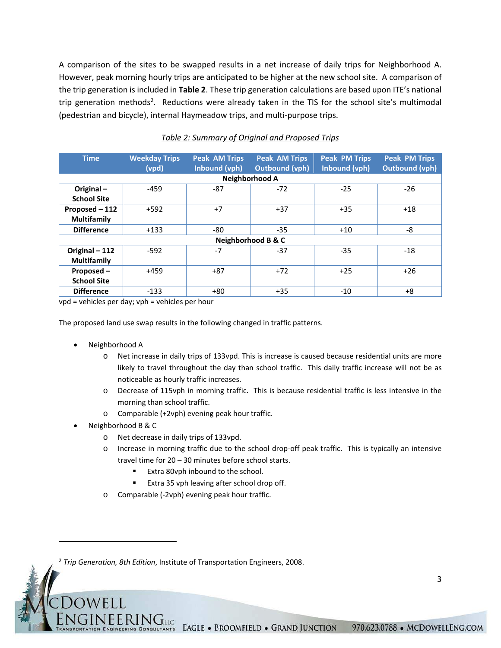A comparison of the sites to be swapped results in a net increase of daily trips for Neighborhood A. However, peak morning hourly trips are anticipated to be higher at the new school site. A comparison of the trip generation is included in **Table 2**. These trip generation calculations are based upon ITE's national trip generation methods<sup>2</sup>. Reductions were already taken in the TIS for the school site's multimodal (pedestrian and bicycle), internal Haymeadow trips, and multi‐purpose trips.

| <b>Time</b>                          | <b>Weekday Trips</b><br>(vpd) | <b>Peak AM Trips</b><br>Inbound (vph) | <b>Peak AM Trips</b><br>Outbound (vph) | <b>Peak PM Trips</b><br>Inbound (vph) | <b>Peak PM Trips</b><br><b>Outbound (vph)</b> |  |  |  |  |  |  |  |
|--------------------------------------|-------------------------------|---------------------------------------|----------------------------------------|---------------------------------------|-----------------------------------------------|--|--|--|--|--|--|--|
| Neighborhood A                       |                               |                                       |                                        |                                       |                                               |  |  |  |  |  |  |  |
| Original-<br><b>School Site</b>      | $-459$                        | $-87$                                 | $-72$                                  | $-25$                                 | $-26$                                         |  |  |  |  |  |  |  |
| Proposed - 112<br><b>Multifamily</b> | $+592$                        | $+7$                                  | $+37$                                  | $+35$                                 | $+18$                                         |  |  |  |  |  |  |  |
| <b>Difference</b>                    | $+133$                        | -80                                   | $-35$                                  | $+10$                                 | -8                                            |  |  |  |  |  |  |  |
| Neighborhood B & C                   |                               |                                       |                                        |                                       |                                               |  |  |  |  |  |  |  |
| Original - 112<br><b>Multifamily</b> | $-592$                        | $-7$                                  | $-37$                                  | $-35$                                 | $-18$                                         |  |  |  |  |  |  |  |
| Proposed -<br><b>School Site</b>     | $+459$                        | $+87$                                 | $+72$                                  | $+25$                                 | $+26$                                         |  |  |  |  |  |  |  |
| <b>Difference</b>                    | $-133$                        | $+80$                                 | $+35$                                  | $-10$                                 | $+8$                                          |  |  |  |  |  |  |  |

#### *Table 2: Summary of Original and Proposed Trips*

vpd = vehicles per day; vph = vehicles per hour

The proposed land use swap results in the following changed in traffic patterns.

- Neighborhood A
	- o Net increase in daily trips of 133vpd. This is increase is caused because residential units are more likely to travel throughout the day than school traffic. This daily traffic increase will not be as noticeable as hourly traffic increases.
	- o Decrease of 115vph in morning traffic. This is because residential traffic is less intensive in the morning than school traffic.
	- o Comparable (+2vph) evening peak hour traffic.
- Neighborhood B & C
	- o Net decrease in daily trips of 133vpd.
	- o Increase in morning traffic due to the school drop‐off peak traffic. This is typically an intensive travel time for 20 – 30 minutes before school starts.
		- **Extra 80vph inbound to the school.**
		- Extra 35 vph leaving after school drop off.
	- o Comparable (‐2vph) evening peak hour traffic.

**EERINGILG** 

<sup>2</sup> *Trip Generation, 8th Edition*, Institute of Transportation Engineers, 2008.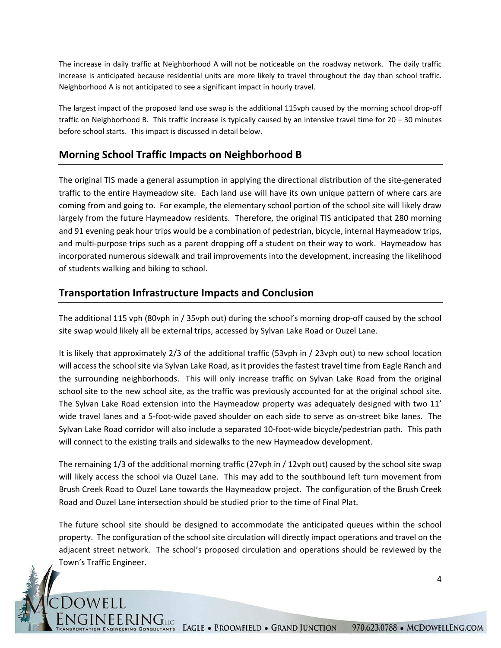The increase in daily traffic at Neighborhood A will not be noticeable on the roadway network. The daily traffic increase is anticipated because residential units are more likely to travel throughout the day than school traffic. Neighborhood A is not anticipated to see a significant impact in hourly travel.

The largest impact of the proposed land use swap is the additional 115vph caused by the morning school drop‐off traffic on Neighborhood B. This traffic increase is typically caused by an intensive travel time for 20 – 30 minutes before school starts. This impact is discussed in detail below.

# **Morning School Traffic Impacts on Neighborhood B**

The original TIS made a general assumption in applying the directional distribution of the site-generated traffic to the entire Haymeadow site. Each land use will have its own unique pattern of where cars are coming from and going to. For example, the elementary school portion of the school site will likely draw largely from the future Haymeadow residents. Therefore, the original TIS anticipated that 280 morning and 91 evening peak hour trips would be a combination of pedestrian, bicycle, internal Haymeadow trips, and multi-purpose trips such as a parent dropping off a student on their way to work. Haymeadow has incorporated numerous sidewalk and trail improvements into the development, increasing the likelihood of students walking and biking to school.

# **Transportation Infrastructure Impacts and Conclusion**

OWELI

**EERINGuc** 

The additional 115 vph (80vph in / 35vph out) during the school's morning drop-off caused by the school site swap would likely all be external trips, accessed by Sylvan Lake Road or Ouzel Lane.

It is likely that approximately 2/3 of the additional traffic (53vph in / 23vph out) to new school location will access the school site via Sylvan Lake Road, as it provides the fastest travel time from Eagle Ranch and the surrounding neighborhoods. This will only increase traffic on Sylvan Lake Road from the original school site to the new school site, as the traffic was previously accounted for at the original school site. The Sylvan Lake Road extension into the Haymeadow property was adequately designed with two 11' wide travel lanes and a 5-foot-wide paved shoulder on each side to serve as on-street bike lanes. The Sylvan Lake Road corridor will also include a separated 10‐foot‐wide bicycle/pedestrian path. This path will connect to the existing trails and sidewalks to the new Haymeadow development.

The remaining 1/3 of the additional morning traffic (27vph in / 12vph out) caused by the school site swap will likely access the school via Ouzel Lane. This may add to the southbound left turn movement from Brush Creek Road to Ouzel Lane towards the Haymeadow project. The configuration of the Brush Creek Road and Ouzel Lane intersection should be studied prior to the time of Final Plat.

The future school site should be designed to accommodate the anticipated queues within the school property. The configuration of the school site circulation will directly impact operations and travel on the adjacent street network. The school's proposed circulation and operations should be reviewed by the Town's Traffic Engineer.